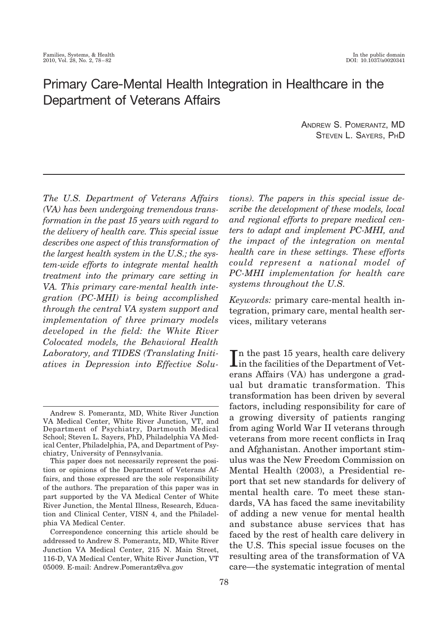## Primary Care-Mental Health Integration in Healthcare in the Department of Veterans Affairs

ANDREW S. POMERANTZ, MD STEVEN L. SAYERS, PHD

*The U.S. Department of Veterans Affairs (VA) has been undergoing tremendous transformation in the past 15 years with regard to the delivery of health care. This special issue describes one aspect of this transformation of the largest health system in the U.S.; the system-wide efforts to integrate mental health treatment into the primary care setting in VA. This primary care-mental health integration (PC-MHI) is being accomplished through the central VA system support and implementation of three primary models developed in the field: the White River Colocated models, the Behavioral Health Laboratory, and TIDES (Translating Initiatives in Depression into Effective Solu-* *tions). The papers in this special issue describe the development of these models, local and regional efforts to prepare medical centers to adapt and implement PC-MHI, and the impact of the integration on mental health care in these settings. These efforts could represent a national model of PC-MHI implementation for health care systems throughout the U.S.*

*Keywords:* primary care-mental health integration, primary care, mental health services, military veterans

In the past 15 years, health care delivery<br>in the facilities of the Department of Vetin the facilities of the Department of Veterans Affairs (VA) has undergone a gradual but dramatic transformation. This transformation has been driven by several factors, including responsibility for care of a growing diversity of patients ranging from aging World War II veterans through veterans from more recent conflicts in Iraq and Afghanistan. Another important stimulus was the New Freedom Commission on Mental Health (2003), a Presidential report that set new standards for delivery of mental health care. To meet these standards, VA has faced the same inevitability of adding a new venue for mental health and substance abuse services that has faced by the rest of health care delivery in the U.S. This special issue focuses on the resulting area of the transformation of VA care—the systematic integration of mental

Andrew S. Pomerantz, MD, White River Junction VA Medical Center, White River Junction, VT, and Department of Psychiatry, Dartmouth Medical School; Steven L. Sayers, PhD, Philadelphia VA Medical Center, Philadelphia, PA, and Department of Psychiatry, University of Pennsylvania.

This paper does not necessarily represent the position or opinions of the Department of Veterans Affairs, and those expressed are the sole responsibility of the authors. The preparation of this paper was in part supported by the VA Medical Center of White River Junction, the Mental Illness, Research, Education and Clinical Center, VISN 4, and the Philadelphia VA Medical Center.

Correspondence concerning this article should be addressed to Andrew S. Pomerantz, MD, White River Junction VA Medical Center, 215 N. Main Street, 116-D, VA Medical Center, White River Junction, VT 05009. E-mail: Andrew.Pomerantz@va.gov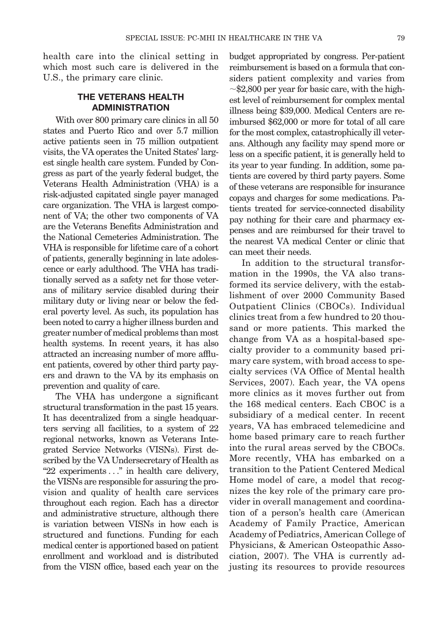health care into the clinical setting in which most such care is delivered in the U.S., the primary care clinic.

## **THE VETERANS HEALTH ADMINISTRATION**

With over 800 primary care clinics in all 50 states and Puerto Rico and over 5.7 million active patients seen in 75 million outpatient visits, the VA operates the United States' largest single health care system. Funded by Congress as part of the yearly federal budget, the Veterans Health Administration (VHA) is a risk-adjusted capitated single payer managed care organization. The VHA is largest component of VA; the other two components of VA are the Veterans Benefits Administration and the National Cemeteries Administration. The VHA is responsible for lifetime care of a cohort of patients, generally beginning in late adolescence or early adulthood. The VHA has traditionally served as a safety net for those veterans of military service disabled during their military duty or living near or below the federal poverty level. As such, its population has been noted to carry a higher illness burden and greater number of medical problems than most health systems. In recent years, it has also attracted an increasing number of more affluent patients, covered by other third party payers and drawn to the VA by its emphasis on prevention and quality of care.

The VHA has undergone a significant structural transformation in the past 15 years. It has decentralized from a single headquarters serving all facilities, to a system of 22 regional networks, known as Veterans Integrated Service Networks (VISNs). First described by the VA Undersecretary of Health as "22 experiments . . ." in health care delivery, the VISNs are responsible for assuring the provision and quality of health care services throughout each region. Each has a director and administrative structure, although there is variation between VISNs in how each is structured and functions. Funding for each medical center is apportioned based on patient enrollment and workload and is distributed from the VISN office, based each year on the budget appropriated by congress. Per-patient reimbursement is based on a formula that considers patient complexity and varies from  $\sim$ \$2,800 per year for basic care, with the highest level of reimbursement for complex mental illness being \$39,000. Medical Centers are reimbursed \$62,000 or more for total of all care for the most complex, catastrophically ill veterans. Although any facility may spend more or less on a specific patient, it is generally held to its year to year funding. In addition, some patients are covered by third party payers. Some of these veterans are responsible for insurance copays and charges for some medications. Patients treated for service-connected disability pay nothing for their care and pharmacy expenses and are reimbursed for their travel to the nearest VA medical Center or clinic that can meet their needs.

In addition to the structural transformation in the 1990s, the VA also transformed its service delivery, with the establishment of over 2000 Community Based Outpatient Clinics (CBOCs). Individual clinics treat from a few hundred to 20 thousand or more patients. This marked the change from VA as a hospital-based specialty provider to a community based primary care system, with broad access to specialty services (VA Office of Mental health Services, 2007). Each year, the VA opens more clinics as it moves further out from the 168 medical centers. Each CBOC is a subsidiary of a medical center. In recent years, VA has embraced telemedicine and home based primary care to reach further into the rural areas served by the CBOCs. More recently, VHA has embarked on a transition to the Patient Centered Medical Home model of care, a model that recognizes the key role of the primary care provider in overall management and coordination of a person's health care (American Academy of Family Practice, American Academy of Pediatrics, American College of Physicians, & American Osteopathic Association, 2007). The VHA is currently adjusting its resources to provide resources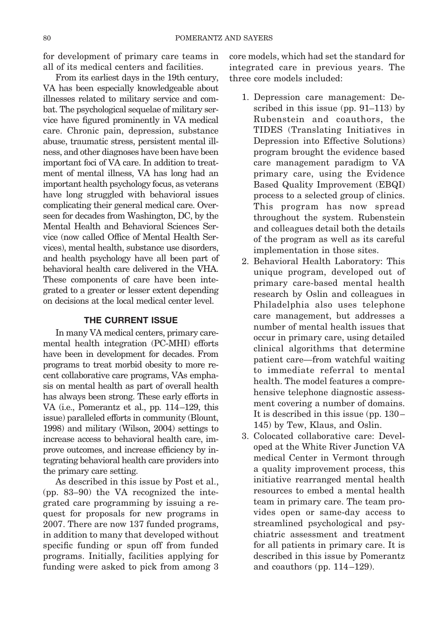for development of primary care teams in all of its medical centers and facilities.

From its earliest days in the 19th century, VA has been especially knowledgeable about illnesses related to military service and combat. The psychological sequelae of military service have figured prominently in VA medical care. Chronic pain, depression, substance abuse, traumatic stress, persistent mental illness, and other diagnoses have been have been important foci of VA care. In addition to treatment of mental illness, VA has long had an important health psychology focus, as veterans have long struggled with behavioral issues complicating their general medical care. Overseen for decades from Washington, DC, by the Mental Health and Behavioral Sciences Service (now called Office of Mental Health Services), mental health, substance use disorders, and health psychology have all been part of behavioral health care delivered in the VHA. These components of care have been integrated to a greater or lesser extent depending on decisions at the local medical center level.

## **THE CURRENT ISSUE**

In many VA medical centers, primary caremental health integration (PC-MHI) efforts have been in development for decades. From programs to treat morbid obesity to more recent collaborative care programs, VAs emphasis on mental health as part of overall health has always been strong. These early efforts in VA (i.e., Pomerantz et al., pp. 114–129, this issue) paralleled efforts in community (Blount, 1998) and military (Wilson, 2004) settings to increase access to behavioral health care, improve outcomes, and increase efficiency by integrating behavioral health care providers into the primary care setting.

As described in this issue by Post et al., (pp. 83–90) the VA recognized the integrated care programming by issuing a request for proposals for new programs in 2007. There are now 137 funded programs, in addition to many that developed without specific funding or spun off from funded programs. Initially, facilities applying for funding were asked to pick from among 3

core models, which had set the standard for integrated care in previous years. The three core models included:

- 1. Depression care management: Described in this issue (pp. 91–113) by Rubenstein and coauthors, the TIDES (Translating Initiatives in Depression into Effective Solutions) program brought the evidence based care management paradigm to VA primary care, using the Evidence Based Quality Improvement (EBQI) process to a selected group of clinics. This program has now spread throughout the system. Rubenstein and colleagues detail both the details of the program as well as its careful implementation in those sites.
- 2. Behavioral Health Laboratory: This unique program, developed out of primary care-based mental health research by Oslin and colleagues in Philadelphia also uses telephone care management, but addresses a number of mental health issues that occur in primary care, using detailed clinical algorithms that determine patient care—from watchful waiting to immediate referral to mental health. The model features a comprehensive telephone diagnostic assessment covering a number of domains. It is described in this issue (pp. 130 – 145) by Tew, Klaus, and Oslin.
- 3. Colocated collaborative care: Developed at the White River Junction VA medical Center in Vermont through a quality improvement process, this initiative rearranged mental health resources to embed a mental health team in primary care. The team provides open or same-day access to streamlined psychological and psychiatric assessment and treatment for all patients in primary care. It is described in this issue by Pomerantz and coauthors (pp. 114-129).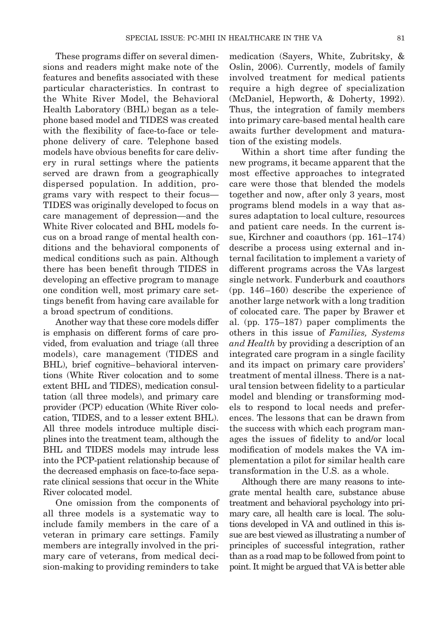These programs differ on several dimensions and readers might make note of the features and benefits associated with these particular characteristics. In contrast to the White River Model, the Behavioral Health Laboratory (BHL) began as a telephone based model and TIDES was created with the flexibility of face-to-face or telephone delivery of care. Telephone based models have obvious benefits for care delivery in rural settings where the patients served are drawn from a geographically dispersed population. In addition, programs vary with respect to their focus— TIDES was originally developed to focus on care management of depression—and the White River colocated and BHL models focus on a broad range of mental health conditions and the behavioral components of medical conditions such as pain. Although there has been benefit through TIDES in developing an effective program to manage one condition well, most primary care settings benefit from having care available for a broad spectrum of conditions.

Another way that these core models differ is emphasis on different forms of care provided, from evaluation and triage (all three models), care management (TIDES and BHL), brief cognitive–behavioral interventions (White River colocation and to some extent BHL and TIDES), medication consultation (all three models), and primary care provider (PCP) education (White River colocation, TIDES, and to a lesser extent BHL). All three models introduce multiple disciplines into the treatment team, although the BHL and TIDES models may intrude less into the PCP-patient relationship because of the decreased emphasis on face-to-face separate clinical sessions that occur in the White River colocated model.

One omission from the components of all three models is a systematic way to include family members in the care of a veteran in primary care settings. Family members are integrally involved in the primary care of veterans, from medical decision-making to providing reminders to take

medication (Sayers, White, Zubritsky, & Oslin, 2006). Currently, models of family involved treatment for medical patients require a high degree of specialization (McDaniel, Hepworth, & Doherty, 1992). Thus, the integration of family members into primary care-based mental health care awaits further development and maturation of the existing models.

Within a short time after funding the new programs, it became apparent that the most effective approaches to integrated care were those that blended the models together and now, after only 3 years, most programs blend models in a way that assures adaptation to local culture, resources and patient care needs. In the current issue, Kirchner and coauthors (pp. 161–174) describe a process using external and internal facilitation to implement a variety of different programs across the VAs largest single network. Funderburk and coauthors (pp. 146 –160) describe the experience of another large network with a long tradition of colocated care. The paper by Brawer et al. (pp. 175–187) paper compliments the others in this issue of *Families, Systems and Health* by providing a description of an integrated care program in a single facility and its impact on primary care providers' treatment of mental illness. There is a natural tension between fidelity to a particular model and blending or transforming models to respond to local needs and preferences. The lessons that can be drawn from the success with which each program manages the issues of fidelity to and/or local modification of models makes the VA implementation a pilot for similar health care transformation in the U.S. as a whole.

Although there are many reasons to integrate mental health care, substance abuse treatment and behavioral psychology into primary care, all health care is local. The solutions developed in VA and outlined in this issue are best viewed as illustrating a number of principles of successful integration, rather than as a road map to be followed from point to point. It might be argued that VA is better able